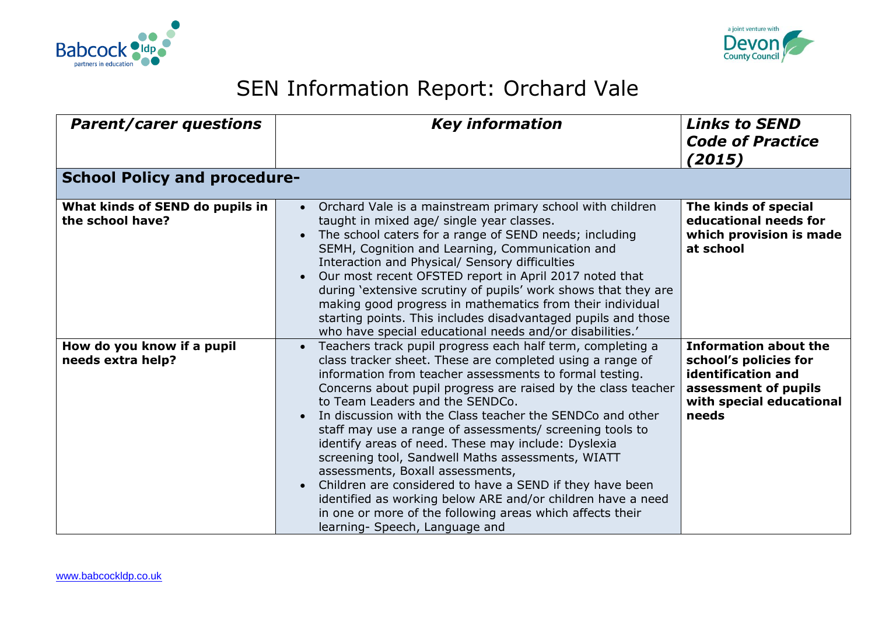



## SEN Information Report: Orchard Vale

| <b>Parent/carer questions</b>                       | <b>Key information</b>                                                                                                                                                                                                                                                                                                                                                                                                                                                                                                                                                                                                                                                                                                                                                                                 | <b>Links to SEND</b><br><b>Code of Practice</b><br>(2015)                                                                                |
|-----------------------------------------------------|--------------------------------------------------------------------------------------------------------------------------------------------------------------------------------------------------------------------------------------------------------------------------------------------------------------------------------------------------------------------------------------------------------------------------------------------------------------------------------------------------------------------------------------------------------------------------------------------------------------------------------------------------------------------------------------------------------------------------------------------------------------------------------------------------------|------------------------------------------------------------------------------------------------------------------------------------------|
| <b>School Policy and procedure-</b>                 |                                                                                                                                                                                                                                                                                                                                                                                                                                                                                                                                                                                                                                                                                                                                                                                                        |                                                                                                                                          |
| What kinds of SEND do pupils in<br>the school have? | Orchard Vale is a mainstream primary school with children<br>taught in mixed age/ single year classes.<br>The school caters for a range of SEND needs; including<br>SEMH, Cognition and Learning, Communication and<br>Interaction and Physical/ Sensory difficulties<br>Our most recent OFSTED report in April 2017 noted that<br>during 'extensive scrutiny of pupils' work shows that they are<br>making good progress in mathematics from their individual<br>starting points. This includes disadvantaged pupils and those<br>who have special educational needs and/or disabilities.'                                                                                                                                                                                                            | The kinds of special<br>educational needs for<br>which provision is made<br>at school                                                    |
| How do you know if a pupil<br>needs extra help?     | Teachers track pupil progress each half term, completing a<br>$\bullet$<br>class tracker sheet. These are completed using a range of<br>information from teacher assessments to formal testing.<br>Concerns about pupil progress are raised by the class teacher<br>to Team Leaders and the SENDCo.<br>In discussion with the Class teacher the SENDCo and other<br>staff may use a range of assessments/ screening tools to<br>identify areas of need. These may include: Dyslexia<br>screening tool, Sandwell Maths assessments, WIATT<br>assessments, Boxall assessments,<br>Children are considered to have a SEND if they have been<br>identified as working below ARE and/or children have a need<br>in one or more of the following areas which affects their<br>learning- Speech, Language and | <b>Information about the</b><br>school's policies for<br>identification and<br>assessment of pupils<br>with special educational<br>needs |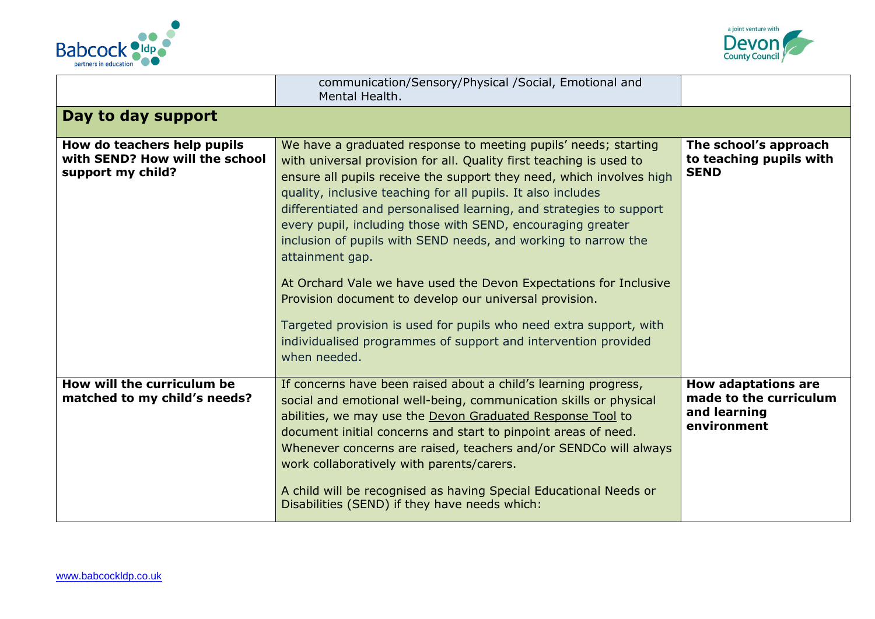



|                                                                                    | communication/Sensory/Physical /Social, Emotional and<br>Mental Health.                                                                                                                                                                                                                                                                                                                                                                                                                                                                                                                                                                                                                                                                                                                          |                                                                                     |
|------------------------------------------------------------------------------------|--------------------------------------------------------------------------------------------------------------------------------------------------------------------------------------------------------------------------------------------------------------------------------------------------------------------------------------------------------------------------------------------------------------------------------------------------------------------------------------------------------------------------------------------------------------------------------------------------------------------------------------------------------------------------------------------------------------------------------------------------------------------------------------------------|-------------------------------------------------------------------------------------|
| Day to day support                                                                 |                                                                                                                                                                                                                                                                                                                                                                                                                                                                                                                                                                                                                                                                                                                                                                                                  |                                                                                     |
| How do teachers help pupils<br>with SEND? How will the school<br>support my child? | We have a graduated response to meeting pupils' needs; starting<br>with universal provision for all. Quality first teaching is used to<br>ensure all pupils receive the support they need, which involves high<br>quality, inclusive teaching for all pupils. It also includes<br>differentiated and personalised learning, and strategies to support<br>every pupil, including those with SEND, encouraging greater<br>inclusion of pupils with SEND needs, and working to narrow the<br>attainment gap.<br>At Orchard Vale we have used the Devon Expectations for Inclusive<br>Provision document to develop our universal provision.<br>Targeted provision is used for pupils who need extra support, with<br>individualised programmes of support and intervention provided<br>when needed. | The school's approach<br>to teaching pupils with<br><b>SEND</b>                     |
| How will the curriculum be<br>matched to my child's needs?                         | If concerns have been raised about a child's learning progress,<br>social and emotional well-being, communication skills or physical<br>abilities, we may use the Devon Graduated Response Tool to<br>document initial concerns and start to pinpoint areas of need.<br>Whenever concerns are raised, teachers and/or SENDCo will always<br>work collaboratively with parents/carers.<br>A child will be recognised as having Special Educational Needs or<br>Disabilities (SEND) if they have needs which:                                                                                                                                                                                                                                                                                      | <b>How adaptations are</b><br>made to the curriculum<br>and learning<br>environment |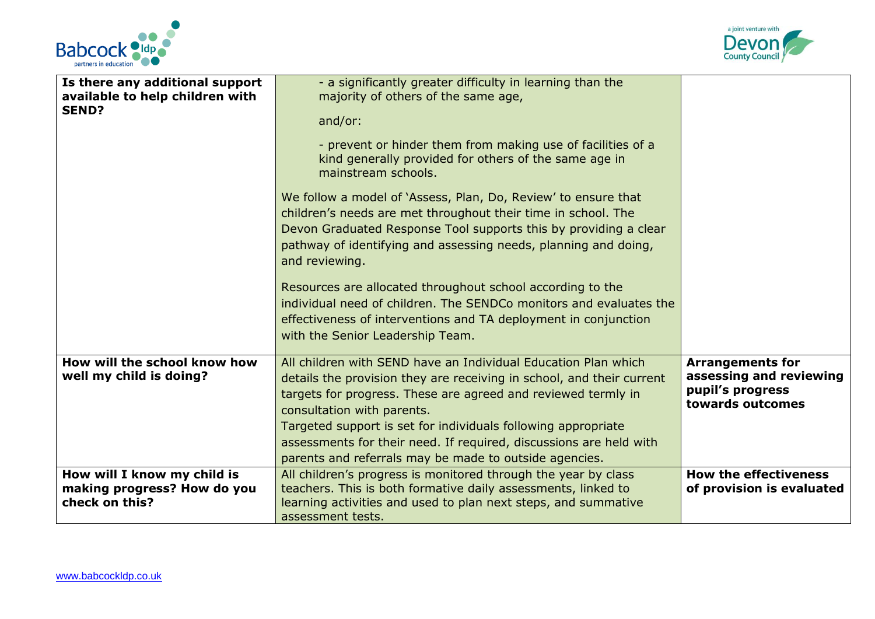



| Is there any additional support<br>available to help children with | - a significantly greater difficulty in learning than the<br>majority of others of the same age,                                                                                                                                        |                                                                 |
|--------------------------------------------------------------------|-----------------------------------------------------------------------------------------------------------------------------------------------------------------------------------------------------------------------------------------|-----------------------------------------------------------------|
| <b>SEND?</b>                                                       | and/or:                                                                                                                                                                                                                                 |                                                                 |
|                                                                    | - prevent or hinder them from making use of facilities of a<br>kind generally provided for others of the same age in<br>mainstream schools.                                                                                             |                                                                 |
|                                                                    | We follow a model of `Assess, Plan, Do, Review' to ensure that                                                                                                                                                                          |                                                                 |
|                                                                    | children's needs are met throughout their time in school. The<br>Devon Graduated Response Tool supports this by providing a clear                                                                                                       |                                                                 |
|                                                                    | pathway of identifying and assessing needs, planning and doing,<br>and reviewing.                                                                                                                                                       |                                                                 |
|                                                                    | Resources are allocated throughout school according to the<br>individual need of children. The SENDCo monitors and evaluates the<br>effectiveness of interventions and TA deployment in conjunction<br>with the Senior Leadership Team. |                                                                 |
| How will the school know how                                       | All children with SEND have an Individual Education Plan which                                                                                                                                                                          | <b>Arrangements for</b>                                         |
| well my child is doing?                                            | details the provision they are receiving in school, and their current<br>targets for progress. These are agreed and reviewed termly in<br>consultation with parents.                                                                    | assessing and reviewing<br>pupil's progress<br>towards outcomes |
|                                                                    | Targeted support is set for individuals following appropriate                                                                                                                                                                           |                                                                 |
|                                                                    | assessments for their need. If required, discussions are held with<br>parents and referrals may be made to outside agencies.                                                                                                            |                                                                 |
|                                                                    |                                                                                                                                                                                                                                         |                                                                 |
| How will I know my child is<br>making progress? How do you         | All children's progress is monitored through the year by class<br>teachers. This is both formative daily assessments, linked to                                                                                                         | <b>How the effectiveness</b><br>of provision is evaluated       |
| check on this?                                                     | learning activities and used to plan next steps, and summative                                                                                                                                                                          |                                                                 |
|                                                                    | assessment tests.                                                                                                                                                                                                                       |                                                                 |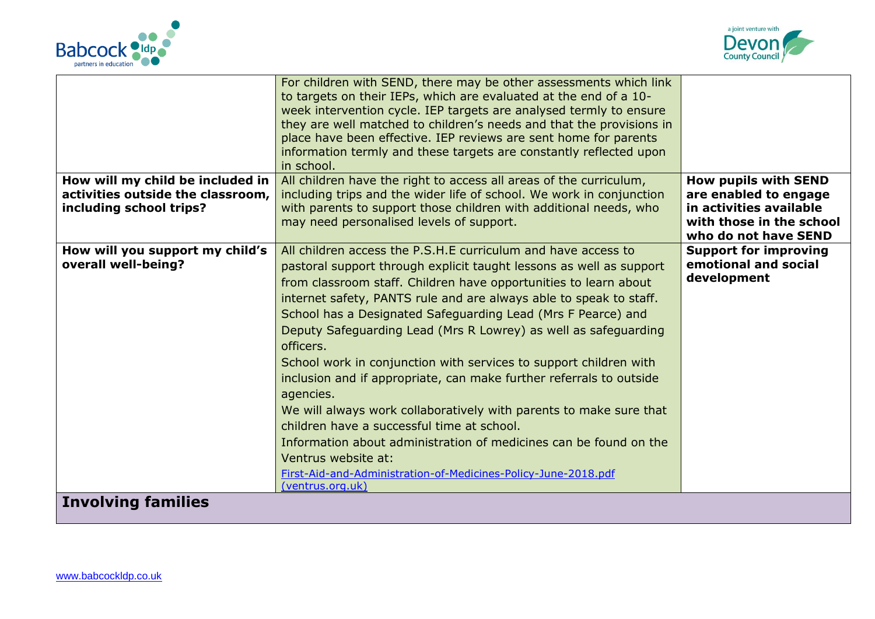



|                                                              | For children with SEND, there may be other assessments which link<br>to targets on their IEPs, which are evaluated at the end of a 10-<br>week intervention cycle. IEP targets are analysed termly to ensure<br>they are well matched to children's needs and that the provisions in<br>place have been effective. IEP reviews are sent home for parents<br>information termly and these targets are constantly reflected upon<br>in school. |                                                  |
|--------------------------------------------------------------|----------------------------------------------------------------------------------------------------------------------------------------------------------------------------------------------------------------------------------------------------------------------------------------------------------------------------------------------------------------------------------------------------------------------------------------------|--------------------------------------------------|
| How will my child be included in                             | All children have the right to access all areas of the curriculum,                                                                                                                                                                                                                                                                                                                                                                           | <b>How pupils with SEND</b>                      |
| activities outside the classroom,<br>including school trips? | including trips and the wider life of school. We work in conjunction<br>with parents to support those children with additional needs, who                                                                                                                                                                                                                                                                                                    | are enabled to engage<br>in activities available |
|                                                              | may need personalised levels of support.                                                                                                                                                                                                                                                                                                                                                                                                     | with those in the school<br>who do not have SEND |
| How will you support my child's                              | All children access the P.S.H.E curriculum and have access to                                                                                                                                                                                                                                                                                                                                                                                | <b>Support for improving</b>                     |
| overall well-being?                                          | pastoral support through explicit taught lessons as well as support                                                                                                                                                                                                                                                                                                                                                                          | emotional and social                             |
|                                                              | from classroom staff. Children have opportunities to learn about                                                                                                                                                                                                                                                                                                                                                                             | development                                      |
|                                                              | internet safety, PANTS rule and are always able to speak to staff.                                                                                                                                                                                                                                                                                                                                                                           |                                                  |
|                                                              | School has a Designated Safeguarding Lead (Mrs F Pearce) and                                                                                                                                                                                                                                                                                                                                                                                 |                                                  |
|                                                              | Deputy Safeguarding Lead (Mrs R Lowrey) as well as safeguarding<br>officers.                                                                                                                                                                                                                                                                                                                                                                 |                                                  |
|                                                              | School work in conjunction with services to support children with                                                                                                                                                                                                                                                                                                                                                                            |                                                  |
|                                                              | inclusion and if appropriate, can make further referrals to outside                                                                                                                                                                                                                                                                                                                                                                          |                                                  |
|                                                              | agencies.                                                                                                                                                                                                                                                                                                                                                                                                                                    |                                                  |
|                                                              | We will always work collaboratively with parents to make sure that                                                                                                                                                                                                                                                                                                                                                                           |                                                  |
|                                                              | children have a successful time at school.                                                                                                                                                                                                                                                                                                                                                                                                   |                                                  |
|                                                              | Information about administration of medicines can be found on the                                                                                                                                                                                                                                                                                                                                                                            |                                                  |
|                                                              | Ventrus website at:                                                                                                                                                                                                                                                                                                                                                                                                                          |                                                  |
|                                                              | First-Aid-and-Administration-of-Medicines-Policy-June-2018.pdf<br>(ventrus.org.uk)                                                                                                                                                                                                                                                                                                                                                           |                                                  |
| <b>Involving families</b>                                    |                                                                                                                                                                                                                                                                                                                                                                                                                                              |                                                  |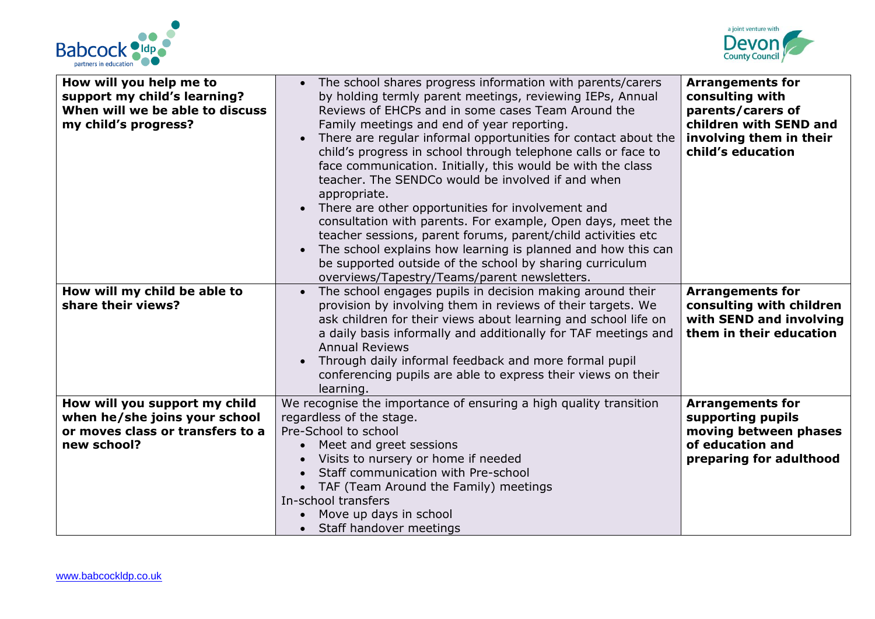



| How will you help me to<br>support my child's learning?<br>When will we be able to discuss<br>my child's progress? | • The school shares progress information with parents/carers<br>by holding termly parent meetings, reviewing IEPs, Annual<br>Reviews of EHCPs and in some cases Team Around the<br>Family meetings and end of year reporting.<br>There are regular informal opportunities for contact about the<br>child's progress in school through telephone calls or face to<br>face communication. Initially, this would be with the class<br>teacher. The SENDCo would be involved if and when<br>appropriate.<br>There are other opportunities for involvement and<br>consultation with parents. For example, Open days, meet the<br>teacher sessions, parent forums, parent/child activities etc<br>The school explains how learning is planned and how this can<br>be supported outside of the school by sharing curriculum<br>overviews/Tapestry/Teams/parent newsletters. | <b>Arrangements for</b><br>consulting with<br>parents/carers of<br>children with SEND and<br>involving them in their<br>child's education |
|--------------------------------------------------------------------------------------------------------------------|----------------------------------------------------------------------------------------------------------------------------------------------------------------------------------------------------------------------------------------------------------------------------------------------------------------------------------------------------------------------------------------------------------------------------------------------------------------------------------------------------------------------------------------------------------------------------------------------------------------------------------------------------------------------------------------------------------------------------------------------------------------------------------------------------------------------------------------------------------------------|-------------------------------------------------------------------------------------------------------------------------------------------|
| How will my child be able to<br>share their views?                                                                 | The school engages pupils in decision making around their<br>provision by involving them in reviews of their targets. We<br>ask children for their views about learning and school life on<br>a daily basis informally and additionally for TAF meetings and<br><b>Annual Reviews</b><br>Through daily informal feedback and more formal pupil<br>conferencing pupils are able to express their views on their<br>learning.                                                                                                                                                                                                                                                                                                                                                                                                                                          | <b>Arrangements for</b><br>consulting with children<br>with SEND and involving<br>them in their education                                 |
| How will you support my child<br>when he/she joins your school<br>or moves class or transfers to a<br>new school?  | We recognise the importance of ensuring a high quality transition<br>regardless of the stage.<br>Pre-School to school<br>Meet and greet sessions<br>Visits to nursery or home if needed<br>Staff communication with Pre-school<br>• TAF (Team Around the Family) meetings<br>In-school transfers<br>Move up days in school<br>Staff handover meetings                                                                                                                                                                                                                                                                                                                                                                                                                                                                                                                | <b>Arrangements for</b><br>supporting pupils<br>moving between phases<br>of education and<br>preparing for adulthood                      |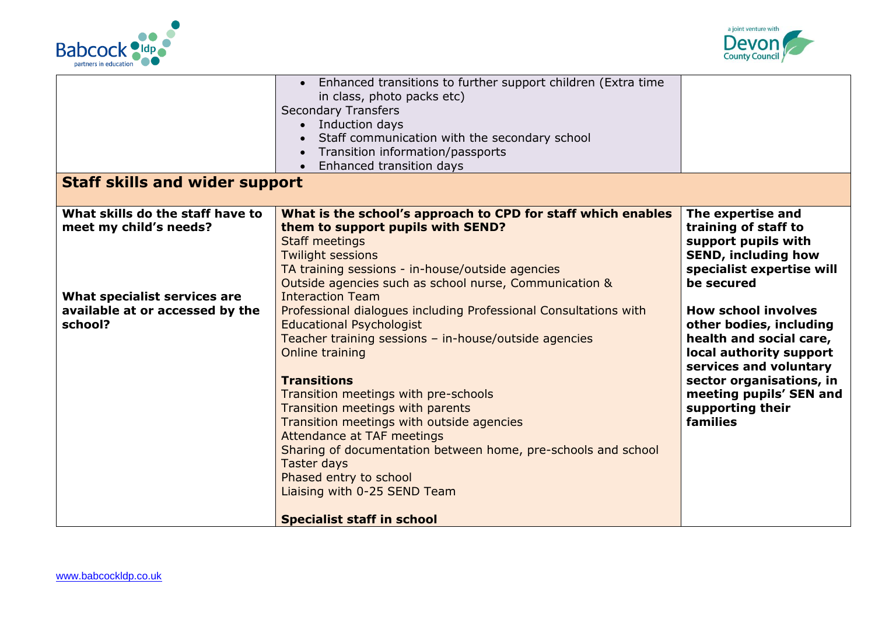



|                                                                                                                                          | Enhanced transitions to further support children (Extra time<br>in class, photo packs etc)<br><b>Secondary Transfers</b><br>• Induction days<br>Staff communication with the secondary school<br>Transition information/passports                                                                                                                                                                                                                                                                                                                                                                                                 |                                                                                                                                                                                                                                                                                                                                                                           |
|------------------------------------------------------------------------------------------------------------------------------------------|-----------------------------------------------------------------------------------------------------------------------------------------------------------------------------------------------------------------------------------------------------------------------------------------------------------------------------------------------------------------------------------------------------------------------------------------------------------------------------------------------------------------------------------------------------------------------------------------------------------------------------------|---------------------------------------------------------------------------------------------------------------------------------------------------------------------------------------------------------------------------------------------------------------------------------------------------------------------------------------------------------------------------|
|                                                                                                                                          | Enhanced transition days<br>$\bullet$                                                                                                                                                                                                                                                                                                                                                                                                                                                                                                                                                                                             |                                                                                                                                                                                                                                                                                                                                                                           |
| <b>Staff skills and wider support</b>                                                                                                    |                                                                                                                                                                                                                                                                                                                                                                                                                                                                                                                                                                                                                                   |                                                                                                                                                                                                                                                                                                                                                                           |
| What skills do the staff have to<br>meet my child's needs?<br>What specialist services are<br>available at or accessed by the<br>school? | What is the school's approach to CPD for staff which enables<br>them to support pupils with SEND?<br><b>Staff meetings</b><br><b>Twilight sessions</b><br>TA training sessions - in-house/outside agencies<br>Outside agencies such as school nurse, Communication &<br><b>Interaction Team</b><br>Professional dialogues including Professional Consultations with<br><b>Educational Psychologist</b><br>Teacher training sessions - in-house/outside agencies<br>Online training<br><b>Transitions</b><br>Transition meetings with pre-schools<br>Transition meetings with parents<br>Transition meetings with outside agencies | The expertise and<br>training of staff to<br>support pupils with<br><b>SEND, including how</b><br>specialist expertise will<br>be secured<br><b>How school involves</b><br>other bodies, including<br>health and social care,<br>local authority support<br>services and voluntary<br>sector organisations, in<br>meeting pupils' SEN and<br>supporting their<br>families |
|                                                                                                                                          | Attendance at TAF meetings<br>Sharing of documentation between home, pre-schools and school<br><b>Taster days</b><br>Phased entry to school<br>Liaising with 0-25 SEND Team<br><b>Specialist staff in school</b>                                                                                                                                                                                                                                                                                                                                                                                                                  |                                                                                                                                                                                                                                                                                                                                                                           |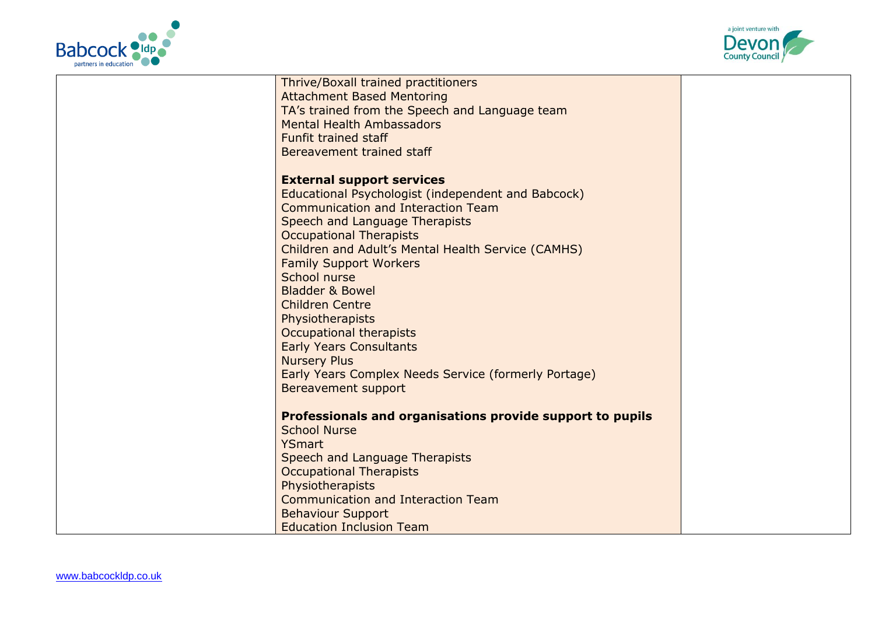



| Thrive/Boxall trained practitioners                                                             |  |
|-------------------------------------------------------------------------------------------------|--|
| <b>Attachment Based Mentoring</b>                                                               |  |
| TA's trained from the Speech and Language team                                                  |  |
| <b>Mental Health Ambassadors</b>                                                                |  |
| <b>Funfit trained staff</b>                                                                     |  |
| Bereavement trained staff                                                                       |  |
| <b>External support services</b>                                                                |  |
|                                                                                                 |  |
| Educational Psychologist (independent and Babcock)<br><b>Communication and Interaction Team</b> |  |
|                                                                                                 |  |
| Speech and Language Therapists                                                                  |  |
| <b>Occupational Therapists</b>                                                                  |  |
| Children and Adult's Mental Health Service (CAMHS)                                              |  |
| <b>Family Support Workers</b>                                                                   |  |
| School nurse                                                                                    |  |
| <b>Bladder &amp; Bowel</b>                                                                      |  |
| <b>Children Centre</b>                                                                          |  |
| Physiotherapists                                                                                |  |
| Occupational therapists                                                                         |  |
| <b>Early Years Consultants</b>                                                                  |  |
| <b>Nursery Plus</b>                                                                             |  |
| Early Years Complex Needs Service (formerly Portage)                                            |  |
| Bereavement support                                                                             |  |
| Professionals and organisations provide support to pupils                                       |  |
| <b>School Nurse</b>                                                                             |  |
| <b>YSmart</b>                                                                                   |  |
| Speech and Language Therapists                                                                  |  |
| <b>Occupational Therapists</b>                                                                  |  |
| Physiotherapists                                                                                |  |
| <b>Communication and Interaction Team</b>                                                       |  |
| <b>Behaviour Support</b>                                                                        |  |
| <b>Education Inclusion Team</b>                                                                 |  |
|                                                                                                 |  |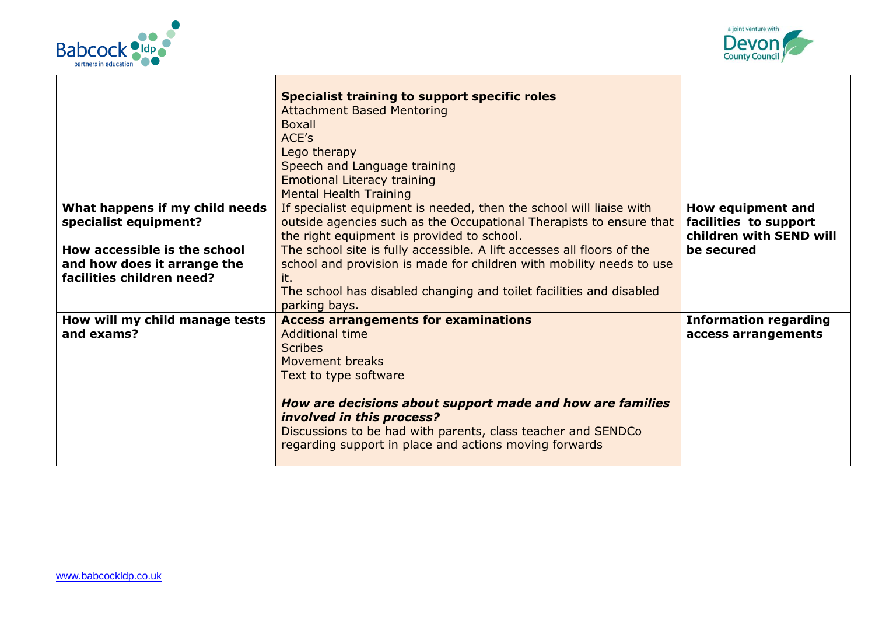



|                                                                                          | <b>Specialist training to support specific roles</b><br><b>Attachment Based Mentoring</b><br><b>Boxall</b><br>ACE's<br>Lego therapy<br>Speech and Language training<br><b>Emotional Literacy training</b><br><b>Mental Health Training</b>                                                                                                              |                                                                       |
|------------------------------------------------------------------------------------------|---------------------------------------------------------------------------------------------------------------------------------------------------------------------------------------------------------------------------------------------------------------------------------------------------------------------------------------------------------|-----------------------------------------------------------------------|
| What happens if my child needs<br>specialist equipment?                                  | If specialist equipment is needed, then the school will liaise with<br>outside agencies such as the Occupational Therapists to ensure that<br>the right equipment is provided to school.                                                                                                                                                                | How equipment and<br>facilities to support<br>children with SEND will |
| How accessible is the school<br>and how does it arrange the<br>facilities children need? | The school site is fully accessible. A lift accesses all floors of the<br>school and provision is made for children with mobility needs to use<br>it.<br>The school has disabled changing and toilet facilities and disabled<br>parking bays.                                                                                                           | be secured                                                            |
| How will my child manage tests<br>and exams?                                             | <b>Access arrangements for examinations</b><br><b>Additional time</b><br><b>Scribes</b><br>Movement breaks<br>Text to type software<br>How are decisions about support made and how are families<br>involved in this process?<br>Discussions to be had with parents, class teacher and SENDCo<br>regarding support in place and actions moving forwards | <b>Information regarding</b><br>access arrangements                   |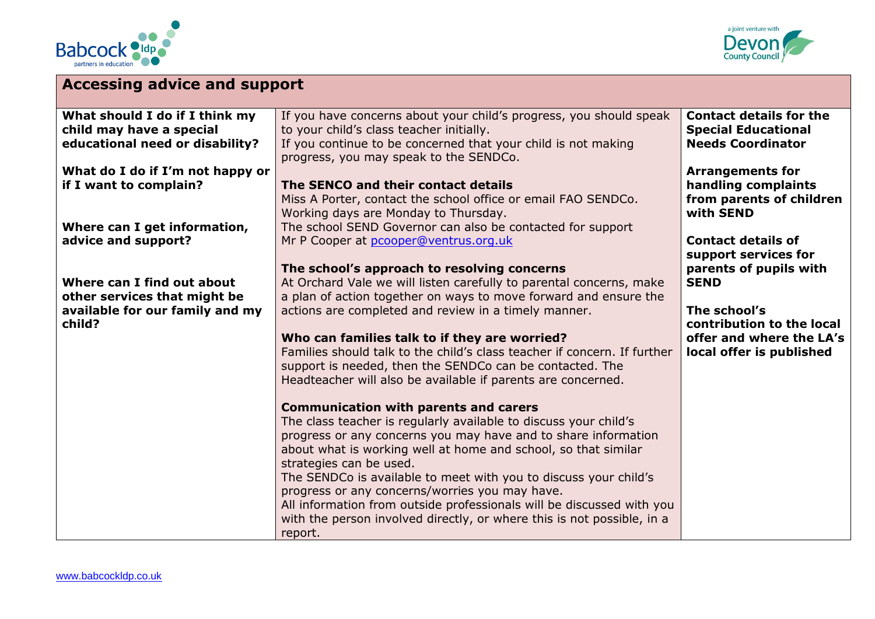



| <b>Accessing advice and support</b>                                                                     |                                                                                                                                                                                                                                                                                                                                                                                                                                                                                                                                                                     |                                                                                                                  |
|---------------------------------------------------------------------------------------------------------|---------------------------------------------------------------------------------------------------------------------------------------------------------------------------------------------------------------------------------------------------------------------------------------------------------------------------------------------------------------------------------------------------------------------------------------------------------------------------------------------------------------------------------------------------------------------|------------------------------------------------------------------------------------------------------------------|
| What should I do if I think my<br>child may have a special<br>educational need or disability?           | If you have concerns about your child's progress, you should speak<br>to your child's class teacher initially.<br>If you continue to be concerned that your child is not making<br>progress, you may speak to the SENDCo.                                                                                                                                                                                                                                                                                                                                           | <b>Contact details for the</b><br><b>Special Educational</b><br><b>Needs Coordinator</b>                         |
| What do I do if I'm not happy or<br>if I want to complain?                                              | The SENCO and their contact details<br>Miss A Porter, contact the school office or email FAO SENDCo.<br>Working days are Monday to Thursday.                                                                                                                                                                                                                                                                                                                                                                                                                        | <b>Arrangements for</b><br>handling complaints<br>from parents of children<br>with SEND                          |
| Where can I get information,<br>advice and support?                                                     | The school SEND Governor can also be contacted for support<br>Mr P Cooper at pcooper@ventrus.org.uk<br>The school's approach to resolving concerns                                                                                                                                                                                                                                                                                                                                                                                                                  | <b>Contact details of</b><br>support services for<br>parents of pupils with                                      |
| Where can I find out about<br>other services that might be<br>available for our family and my<br>child? | At Orchard Vale we will listen carefully to parental concerns, make<br>a plan of action together on ways to move forward and ensure the<br>actions are completed and review in a timely manner.<br>Who can families talk to if they are worried?<br>Families should talk to the child's class teacher if concern. If further<br>support is needed, then the SENDCo can be contacted. The<br>Headteacher will also be available if parents are concerned.                                                                                                            | <b>SEND</b><br>The school's<br>contribution to the local<br>offer and where the LA's<br>local offer is published |
|                                                                                                         | <b>Communication with parents and carers</b><br>The class teacher is regularly available to discuss your child's<br>progress or any concerns you may have and to share information<br>about what is working well at home and school, so that similar<br>strategies can be used.<br>The SENDCo is available to meet with you to discuss your child's<br>progress or any concerns/worries you may have.<br>All information from outside professionals will be discussed with you<br>with the person involved directly, or where this is not possible, in a<br>report. |                                                                                                                  |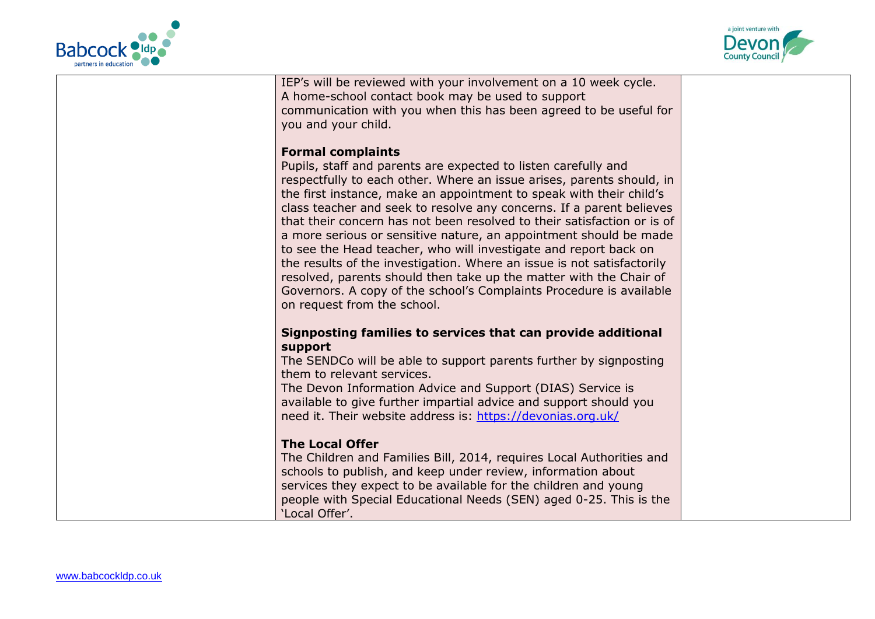



| IEP's will be reviewed with your involvement on a 10 week cycle.<br>A home-school contact book may be used to support<br>communication with you when this has been agreed to be useful for                             |  |
|------------------------------------------------------------------------------------------------------------------------------------------------------------------------------------------------------------------------|--|
| you and your child.<br><b>Formal complaints</b>                                                                                                                                                                        |  |
| Pupils, staff and parents are expected to listen carefully and<br>respectfully to each other. Where an issue arises, parents should, in                                                                                |  |
| the first instance, make an appointment to speak with their child's<br>class teacher and seek to resolve any concerns. If a parent believes<br>that their concern has not been resolved to their satisfaction or is of |  |
| a more serious or sensitive nature, an appointment should be made<br>to see the Head teacher, who will investigate and report back on<br>the results of the investigation. Where an issue is not satisfactorily        |  |
| resolved, parents should then take up the matter with the Chair of<br>Governors. A copy of the school's Complaints Procedure is available<br>on request from the school.                                               |  |
|                                                                                                                                                                                                                        |  |
| Signposting families to services that can provide additional<br>support                                                                                                                                                |  |
| The SENDCo will be able to support parents further by signposting                                                                                                                                                      |  |
| them to relevant services.<br>The Devon Information Advice and Support (DIAS) Service is                                                                                                                               |  |
| available to give further impartial advice and support should you                                                                                                                                                      |  |
| need it. Their website address is: https://devonias.org.uk/                                                                                                                                                            |  |
| <b>The Local Offer</b>                                                                                                                                                                                                 |  |
| The Children and Families Bill, 2014, requires Local Authorities and                                                                                                                                                   |  |
| schools to publish, and keep under review, information about<br>services they expect to be available for the children and young                                                                                        |  |
| people with Special Educational Needs (SEN) aged 0-25. This is the                                                                                                                                                     |  |
| 'Local Offer'.                                                                                                                                                                                                         |  |